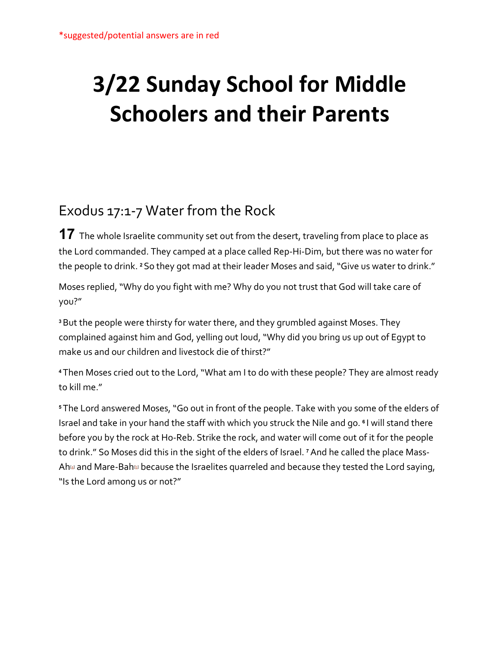## **3/22 Sunday School for Middle Schoolers and their Parents**

## Exodus 17:1-7 Water from the Rock

**17** The whole Israelite community set out from the desert, traveling from place to place as the Lord commanded. They camped at a place called Rep-Hi-Dim, but there was no water for the people to drink. **<sup>2</sup>** So they got mad at their leader Moses and said, "Give us water to drink."

Moses replied, "Why do you fight with me? Why do you not trust that God will take care of you?"

**<sup>3</sup>**But the people were thirsty for water there, and they grumbled against Moses. They complained against him and God, yelling out loud, "Why did you bring us up out of Egypt to make us and our children and livestock die of thirst?"

**<sup>4</sup>** Then Moses cried out to the Lord, "What am I to do with these people? They are almost ready to kill me."

**<sup>5</sup>** The Lord answered Moses, "Go out in front of the people. Take with you some of the elders of Israel and take in your hand the staff with which you struck the Nile and go. **<sup>6</sup>** I will stand there before you by the rock at Ho-Reb. Strike the rock, and water will come out of it for the people to drink." So Moses did this in the sight of the elders of Israel. **<sup>7</sup>**And he called the place Mass-Ah $a$  and Mare-Bah $\omega$  because the Israelites quarreled and because they tested the Lord saying, "Is the Lord among us or not?"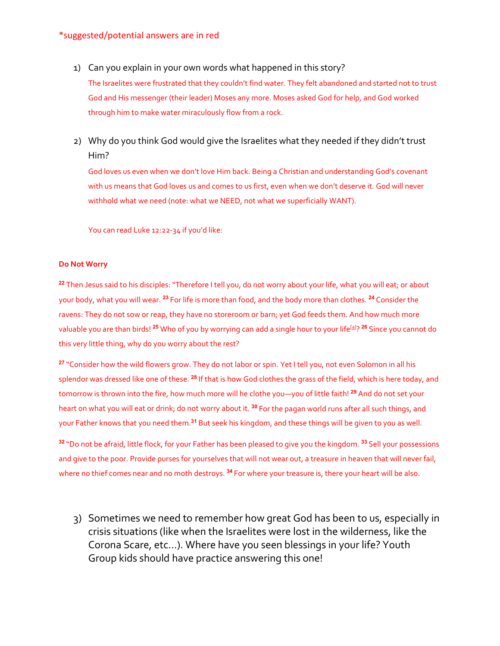## \*suggested/potential answers are in red

1) Can you explain in your own words what happened in this story?

The Israelites were frustrated that they couldn't find water. They felt abandoned and started not to trust God and His messenger (their leader) Moses any more. Moses asked God for help, and God worked through him to make water miraculously flow from a rock.

2) Why do you think God would give the Israelites what they needed if they didn't trust Him?

God loves us even when we don't love Him back. Being a Christian and understanding God's covenant with us means that God loves us and comes to us first, even when we don't deserve it. God will never withhold what we need (note: what we NEED, not what we superficially WANT).

You can read Luke 12:22-34 if you'd like:

## **Do Not Worry**

**<sup>22</sup>** Then Jesus said to his disciples: "Therefore I tell you, do not worry about your life, what you will eat; or about your body, what you will wear. **<sup>23</sup>** For life is more than food, and the body more than clothes. **<sup>24</sup>** Consider the ravens: They do not sow or reap, they have no storeroom or barn; yet God feeds them. And how much more valuable you are than birds! **<sup>25</sup>** Who of you by worrying can add a single hour to your lif[e\[a\]](https://www.biblegateway.com/passage/?search=Luke+12%3A22-34&version=NIV#fen-NIV-25485a) ? **<sup>26</sup>** Since you cannot do this very little thing, why do you worry about the rest?

**<sup>27</sup>** "Consider how the wild flowers grow. They do not labor or spin. Yet I tell you, not even Solomon in all his splendor was dressed like one of these. **<sup>28</sup>** If that is how God clothes the grass of the field, which is here today, and tomorrow is thrown into the fire, how much more will he clothe you—you of little faith! **<sup>29</sup>** And do not set your heart on what you will eat or drink; do not worry about it. **<sup>30</sup>** For the pagan world runs after all such things, and your Father knows that you need them.**<sup>31</sup>** But seek his kingdom, and these things will be given to you as well.

**<sup>32</sup>** "Do not be afraid, little flock, for your Father has been pleased to give you the kingdom. **<sup>33</sup>** Sell your possessions and give to the poor. Provide purses for yourselves that will not wear out, a treasure in heaven that will never fail, where no thief comes near and no moth destroys. **<sup>34</sup>** For where your treasure is, there your heart will be also.

3) Sometimes we need to remember how great God has been to us, especially in crisis situations (like when the Israelites were lost in the wilderness, like the Corona Scare, etc…). Where have you seen blessings in your life? Youth Group kids should have practice answering this one!